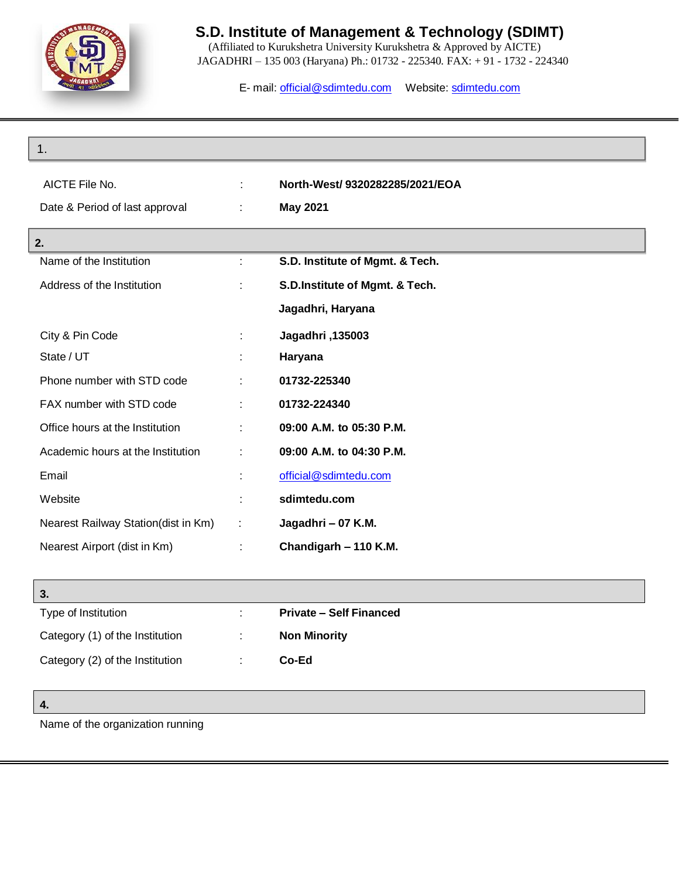

 (Affiliated to Kurukshetra University Kurukshetra & Approved by AICTE) JAGADHRI – 135 003 (Haryana) Ph.: 01732 - 225340. FAX: + 91 - 1732 - 224340

E- mail: [official@sdimtedu.com](mailto:official@sdimtedu.com) Website: sdimtedu.com

| 1.                                  |   |                                 |
|-------------------------------------|---|---------------------------------|
| AICTE File No.                      |   | North-West/ 9320282285/2021/EOA |
| Date & Period of last approval      | ÷ | <b>May 2021</b>                 |
|                                     |   |                                 |
| 2.<br>Name of the Institution       |   | S.D. Institute of Mgmt. & Tech. |
|                                     |   |                                 |
| Address of the Institution          | t | S.D.Institute of Mgmt. & Tech.  |
|                                     |   | Jagadhri, Haryana               |
| City & Pin Code                     |   | Jagadhri, 135003                |
| State / UT                          |   | Haryana                         |
| Phone number with STD code          |   | 01732-225340                    |
| FAX number with STD code            | ÷ | 01732-224340                    |
| Office hours at the Institution     | t | 09:00 A.M. to 05:30 P.M.        |
| Academic hours at the Institution   |   | 09:00 A.M. to 04:30 P.M.        |
| Email                               |   | official@sdimtedu.com           |
| Website                             |   | sdimtedu.com                    |
| Nearest Railway Station(dist in Km) |   | Jagadhri - 07 K.M.              |
| Nearest Airport (dist in Km)        |   | Chandigarh - 110 K.M.           |
|                                     |   |                                 |

| 3.                              |                                |
|---------------------------------|--------------------------------|
| Type of Institution             | <b>Private – Self Financed</b> |
| Category (1) of the Institution | <b>Non Minority</b>            |
| Category (2) of the Institution | Co-Ed                          |

**4.**

Name of the organization running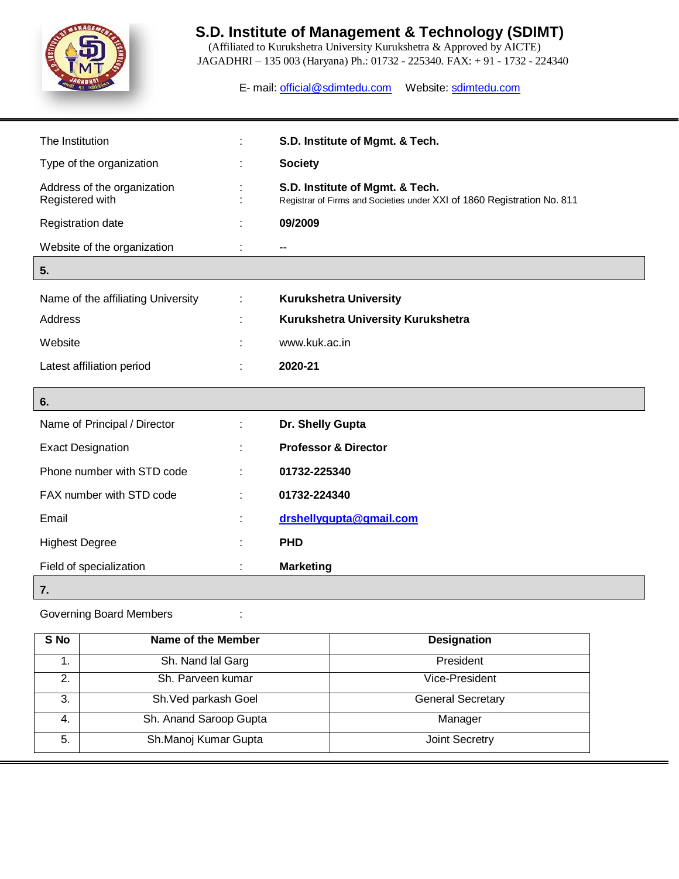

 (Affiliated to Kurukshetra University Kurukshetra & Approved by AICTE) JAGADHRI – 135 003 (Haryana) Ph.: 01732 - 225340. FAX: + 91 - 1732 - 224340

E- mail: [official@sdimtedu.com](mailto:official@sdimtedu.com) Website: sdimtedu.com

| The Institution                                |   | S.D. Institute of Mgmt. & Tech.                                                                            |
|------------------------------------------------|---|------------------------------------------------------------------------------------------------------------|
| Type of the organization                       |   | <b>Society</b>                                                                                             |
| Address of the organization<br>Registered with |   | S.D. Institute of Mgmt. & Tech.<br>Registrar of Firms and Societies under XXI of 1860 Registration No. 811 |
| Registration date                              |   | 09/2009                                                                                                    |
| Website of the organization                    |   | --                                                                                                         |
| 5.                                             |   |                                                                                                            |
| Name of the affiliating University             | ÷ | <b>Kurukshetra University</b>                                                                              |
| Address                                        |   | Kurukshetra University Kurukshetra                                                                         |
| Website                                        |   | www.kuk.ac.in                                                                                              |
| Latest affiliation period                      |   | 2020-21                                                                                                    |
| 6.                                             |   |                                                                                                            |
| Name of Principal / Director                   |   | Dr. Shelly Gupta                                                                                           |
| <b>Exact Designation</b>                       |   | <b>Professor &amp; Director</b>                                                                            |
| Phone number with STD code                     |   | 01732-225340                                                                                               |
| FAX number with STD code                       |   | 01732-224340                                                                                               |
| Email                                          |   | drshellygupta@gmail.com                                                                                    |
| <b>Highest Degree</b>                          |   | <b>PHD</b>                                                                                                 |
| Field of specialization                        |   | <b>Marketing</b>                                                                                           |
| 7.                                             |   |                                                                                                            |

Governing Board Members :  $\cdot$  :

| S No | Name of the Member     | <b>Designation</b>       |
|------|------------------------|--------------------------|
|      | Sh. Nand lal Garg      | President                |
| 2.   | Sh. Parveen kumar      | Vice-President           |
| 3.   | Sh. Ved parkash Goel   | <b>General Secretary</b> |
| 4.   | Sh. Anand Saroop Gupta | Manager                  |
| 5.   | Sh.Manoj Kumar Gupta   | <b>Joint Secretry</b>    |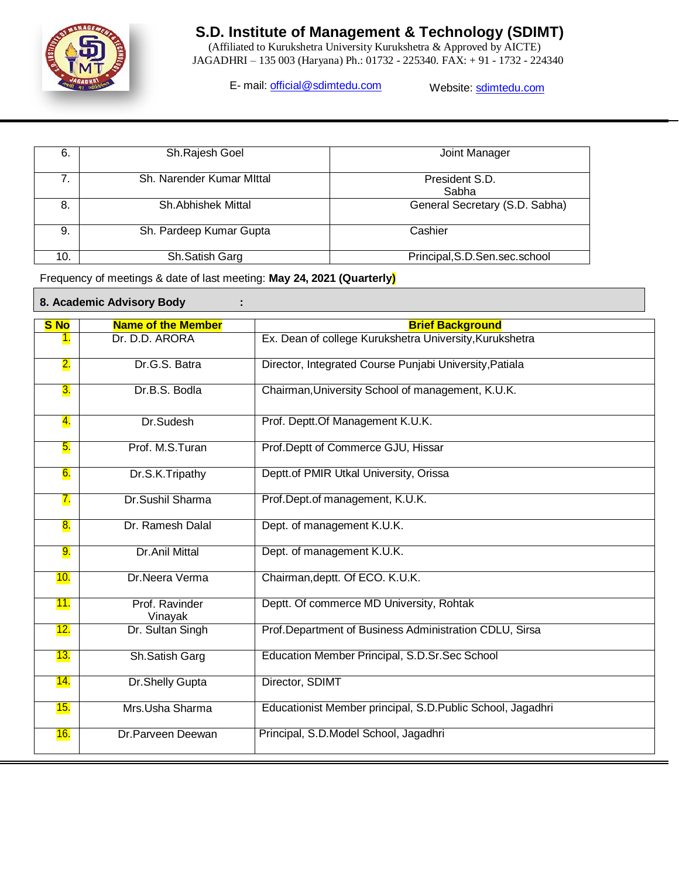

 (Affiliated to Kurukshetra University Kurukshetra & Approved by AICTE) JAGADHRI – 135 003 (Haryana) Ph.: 01732 - 225340. FAX: + 91 - 1732 - 224340

E- mail: [official@sdimtedu.com](mailto:official@sdimtedu.com) Website: sdimtedu.com

| 6.  | Sh.Rajesh Goel            | Joint Manager                    |
|-----|---------------------------|----------------------------------|
| 7.  | Sh. Narender Kumar Mittal | President S.D.<br>Sabha          |
| 8.  | <b>Sh.Abhishek Mittal</b> | General Secretary (S.D. Sabha)   |
| 9.  | Sh. Pardeep Kumar Gupta   | Cashier                          |
| 10. | Sh.Satish Garg            | Principal, S.D. Sen. sec. school |

Frequency of meetings & date of last meeting: **May 24, 2021 (Quarterly)**

**8. Academic Advisory Body :**

| <b>S</b> No               | <b>Name of the Member</b> | <b>Brief Background</b>                                    |
|---------------------------|---------------------------|------------------------------------------------------------|
| $\mathbf{1}$ .            | Dr. D.D. ARORA            | Ex. Dean of college Kurukshetra University, Kurukshetra    |
| $\overline{\mathbf{2}}$ . | Dr.G.S. Batra             | Director, Integrated Course Punjabi University, Patiala    |
| <mark>3.</mark>           | Dr.B.S. Bodla             | Chairman, University School of management, K.U.K.          |
| 4.                        | Dr.Sudesh                 | Prof. Deptt.Of Management K.U.K.                           |
| 5.                        | Prof. M.S.Turan           | Prof.Deptt of Commerce GJU, Hissar                         |
| 6.                        | Dr.S.K.Tripathy           | Deptt.of PMIR Utkal University, Orissa                     |
| 7.                        | Dr.Sushil Sharma          | Prof.Dept.of management, K.U.K.                            |
| 8.                        | Dr. Ramesh Dalal          | Dept. of management K.U.K.                                 |
| 9.                        | <b>Dr.Anil Mittal</b>     | Dept. of management K.U.K.                                 |
| 10.                       | Dr.Neera Verma            | Chairman, deptt. Of ECO. K.U.K.                            |
| <u> 11.</u>               | Prof. Ravinder<br>Vinayak | Deptt. Of commerce MD University, Rohtak                   |
| <u> 12.</u>               | Dr. Sultan Singh          | Prof. Department of Business Administration CDLU, Sirsa    |
| 13.                       | Sh.Satish Garg            | Education Member Principal, S.D.Sr.Sec School              |
| 14.                       | Dr.Shelly Gupta           | Director, SDIMT                                            |
| 15.                       | Mrs.Usha Sharma           | Educationist Member principal, S.D.Public School, Jagadhri |
| 16.                       | Dr.Parveen Deewan         | Principal, S.D.Model School, Jagadhri                      |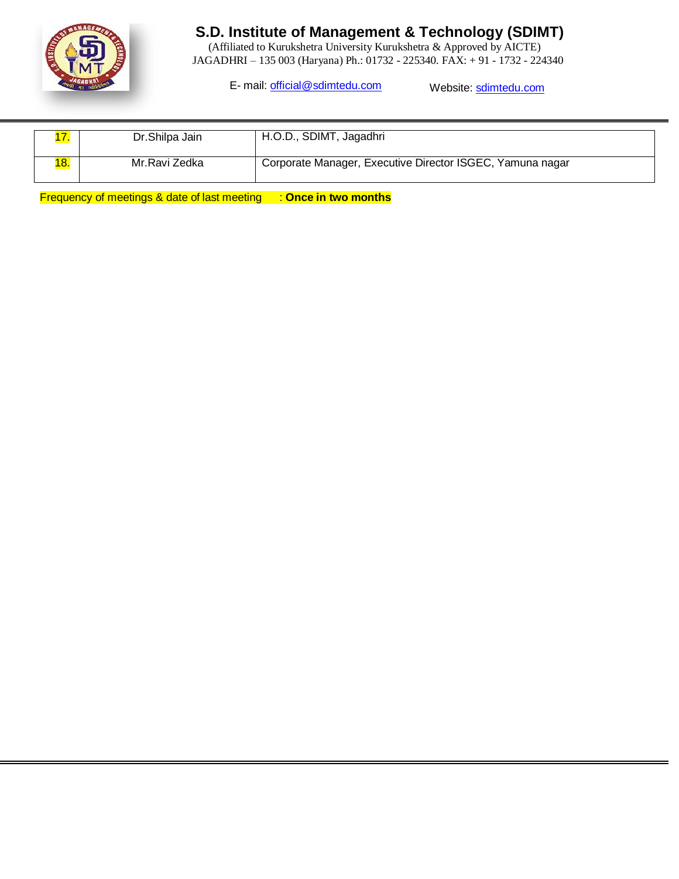

 (Affiliated to Kurukshetra University Kurukshetra & Approved by AICTE) JAGADHRI – 135 003 (Haryana) Ph.: 01732 - 225340. FAX: + 91 - 1732 - 224340

E- mail: [official@sdimtedu.com](mailto:official@sdimtedu.com) Website: sdimtedu.com

|     | Dr.Shilpa Jain | H.O.D., SDIMT, Jagadhri                                   |
|-----|----------------|-----------------------------------------------------------|
| 18. | Mr.Ravi Zedka  | Corporate Manager, Executive Director ISGEC, Yamuna nagar |

Frequency of meetings & date of last meeting : **Once in two months**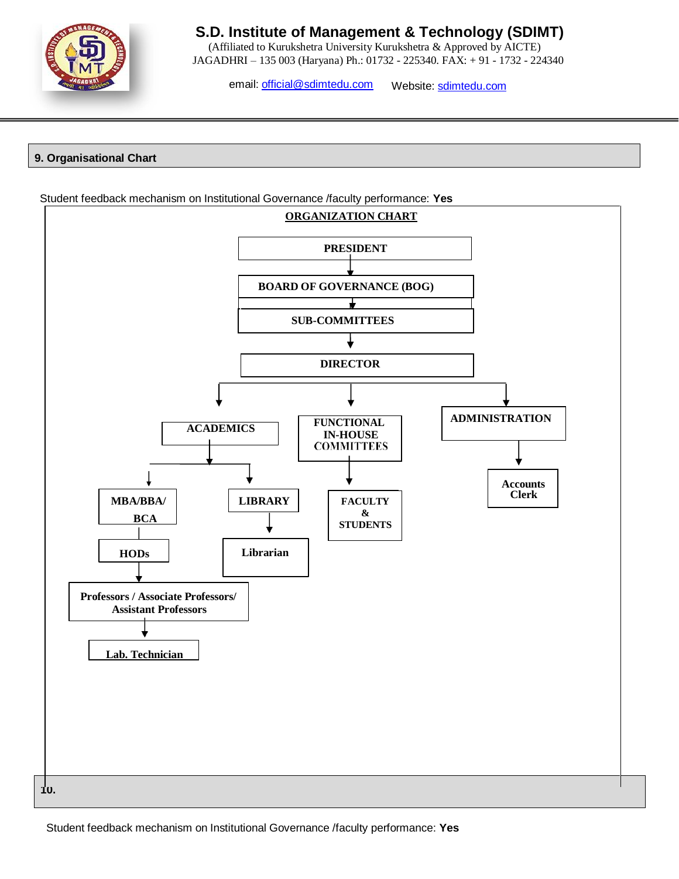

 (Affiliated to Kurukshetra University Kurukshetra & Approved by AICTE) JAGADHRI – 135 003 (Haryana) Ph.: 01732 - 225340. FAX: + 91 - 1732 - 224340

email: [official@sdimtedu.com](mailto:official@sdimtedu.com) Website: sdimtedu.com

### **9. Organisational Chart**

Student feedback mechanism on Institutional Governance /faculty performance: **Yes**



Student feedback mechanism on Institutional Governance /faculty performance: **Yes**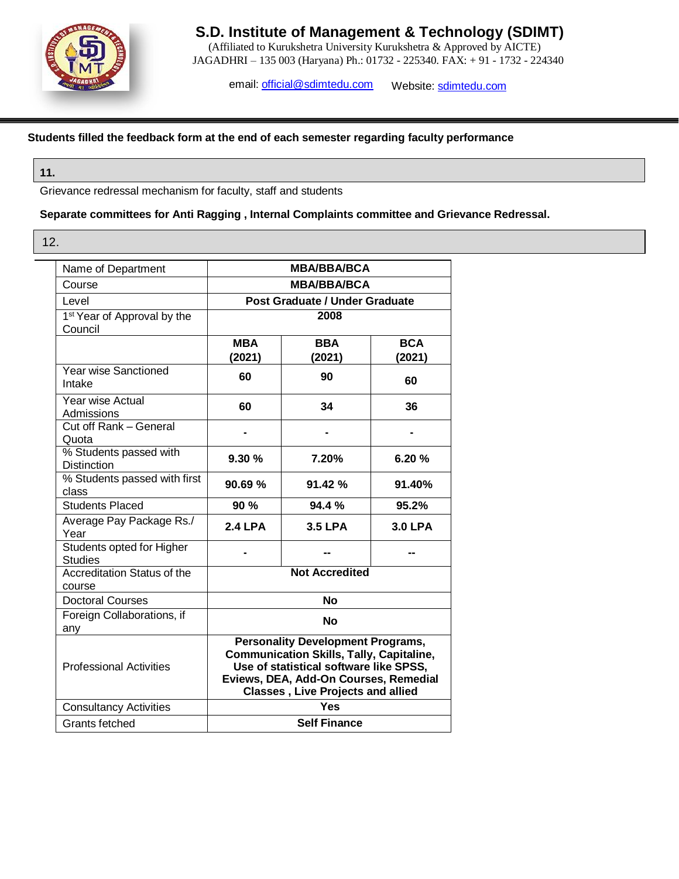

 (Affiliated to Kurukshetra University Kurukshetra & Approved by AICTE) JAGADHRI – 135 003 (Haryana) Ph.: 01732 - 225340. FAX: + 91 - 1732 - 224340

email: [official@sdimtedu.com](mailto:official@sdimtedu.com) Website: sdimtedu.com

### **Students filled the feedback form at the end of each semester regarding faculty performance**

#### **11.**

Grievance redressal mechanism for faculty, staff and students

### **Separate committees for Anti Ragging , Internal Complaints committee and Grievance Redressal.**

12.

| Name of Department                           |                | <b>MBA/BBA/BCA</b>                       |                                                 |  |
|----------------------------------------------|----------------|------------------------------------------|-------------------------------------------------|--|
| Course                                       |                | <b>MBA/BBA/BCA</b>                       |                                                 |  |
| Level                                        |                | Post Graduate / Under Graduate           |                                                 |  |
| 1 <sup>st</sup> Year of Approval by the      |                | 2008                                     |                                                 |  |
| Council                                      |                |                                          |                                                 |  |
|                                              | <b>MBA</b>     | <b>BBA</b>                               | <b>BCA</b>                                      |  |
| <b>Year wise Sanctioned</b>                  | (2021)         | (2021)                                   | (2021)                                          |  |
| Intake                                       | 60             | 90                                       | 60                                              |  |
| Year wise Actual                             | 60             | 34                                       | 36                                              |  |
| Admissions<br>Cut off Rank - General         |                |                                          |                                                 |  |
| Quota                                        |                |                                          |                                                 |  |
| % Students passed with                       |                |                                          |                                                 |  |
| <b>Distinction</b>                           | 9.30%          | 7.20%                                    | 6.20%                                           |  |
| % Students passed with first                 | 90.69%         | 91.42%                                   | 91.40%                                          |  |
| class                                        |                |                                          |                                                 |  |
| <b>Students Placed</b>                       | 90%            | 94.4 %                                   | 95.2%                                           |  |
| Average Pay Package Rs./<br>Year             | <b>2.4 LPA</b> | <b>3.5 LPA</b>                           | <b>3.0 LPA</b>                                  |  |
| Students opted for Higher<br><b>Studies</b>  |                |                                          |                                                 |  |
| <b>Accreditation Status of the</b><br>course |                | <b>Not Accredited</b>                    |                                                 |  |
| <b>Doctoral Courses</b>                      |                | No                                       |                                                 |  |
| Foreign Collaborations, if                   |                | <b>No</b>                                |                                                 |  |
| any                                          |                |                                          |                                                 |  |
|                                              |                | <b>Personality Development Programs,</b> |                                                 |  |
| <b>Professional Activities</b>               |                | Use of statistical software like SPSS,   | <b>Communication Skills, Tally, Capitaline,</b> |  |
|                                              |                | Eviews, DEA, Add-On Courses, Remedial    |                                                 |  |
|                                              |                | <b>Classes, Live Projects and allied</b> |                                                 |  |
| <b>Consultancy Activities</b>                |                | Yes                                      |                                                 |  |
| Grants fetched                               |                | <b>Self Finance</b>                      |                                                 |  |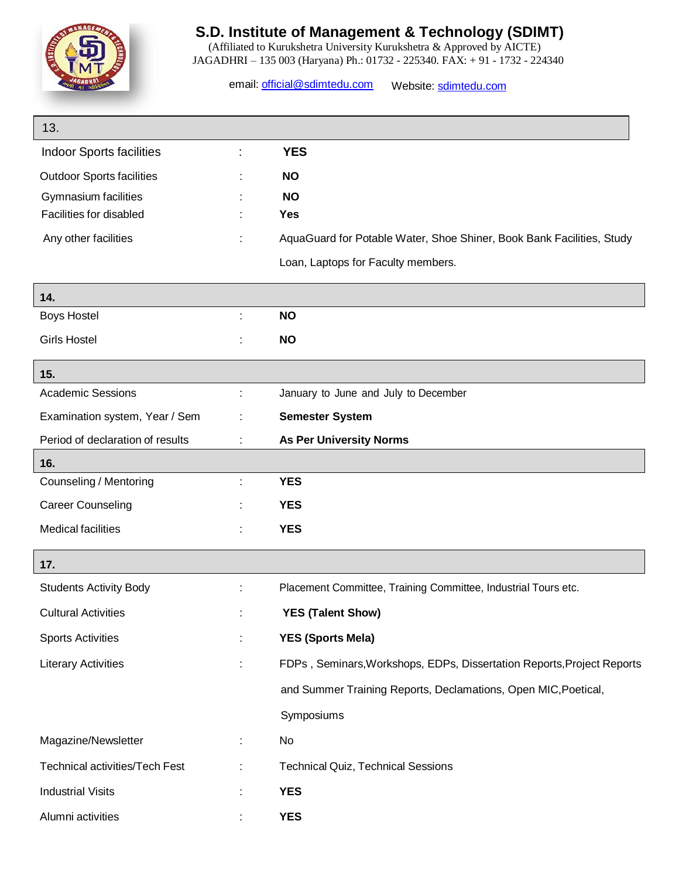

 (Affiliated to Kurukshetra University Kurukshetra & Approved by AICTE) JAGADHRI – 135 003 (Haryana) Ph.: 01732 - 225340. FAX: + 91 - 1732 - 224340

email: [official@sdimtedu.com](mailto:official@sdimtedu.com) Website: sdimtedu.com

| 13.                                   |    |                                                                        |
|---------------------------------------|----|------------------------------------------------------------------------|
| <b>Indoor Sports facilities</b>       |    | <b>YES</b>                                                             |
| <b>Outdoor Sports facilities</b>      |    | <b>NO</b>                                                              |
| Gymnasium facilities                  |    | <b>NO</b>                                                              |
| Facilities for disabled               |    | <b>Yes</b>                                                             |
| Any other facilities                  |    | AquaGuard for Potable Water, Shoe Shiner, Book Bank Facilities, Study  |
|                                       |    | Loan, Laptops for Faculty members.                                     |
| 14.                                   |    |                                                                        |
| <b>Boys Hostel</b>                    | ÷  | <b>NO</b>                                                              |
| <b>Girls Hostel</b>                   |    | <b>NO</b>                                                              |
| 15.                                   |    |                                                                        |
| <b>Academic Sessions</b>              | t  | January to June and July to December                                   |
| Examination system, Year / Sem        |    | <b>Semester System</b>                                                 |
| Period of declaration of results      | ÷  | <b>As Per University Norms</b>                                         |
| 16.                                   |    |                                                                        |
| Counseling / Mentoring                | ÷  | <b>YES</b>                                                             |
| <b>Career Counseling</b>              |    | <b>YES</b>                                                             |
| <b>Medical facilities</b>             |    | <b>YES</b>                                                             |
| 17.                                   |    |                                                                        |
| <b>Students Activity Body</b>         |    | Placement Committee, Training Committee, Industrial Tours etc.         |
| <b>Cultural Activities</b>            |    | <b>YES (Talent Show)</b>                                               |
| <b>Sports Activities</b>              | t. | <b>YES (Sports Mela)</b>                                               |
| <b>Literary Activities</b>            | ÷  | FDPs, Seminars, Workshops, EDPs, Dissertation Reports, Project Reports |
|                                       |    | and Summer Training Reports, Declamations, Open MIC, Poetical,         |
|                                       |    | Symposiums                                                             |
| Magazine/Newsletter                   | ÷  | No                                                                     |
| <b>Technical activities/Tech Fest</b> |    | <b>Technical Quiz, Technical Sessions</b>                              |
| <b>Industrial Visits</b>              |    | <b>YES</b>                                                             |
| Alumni activities                     |    | <b>YES</b>                                                             |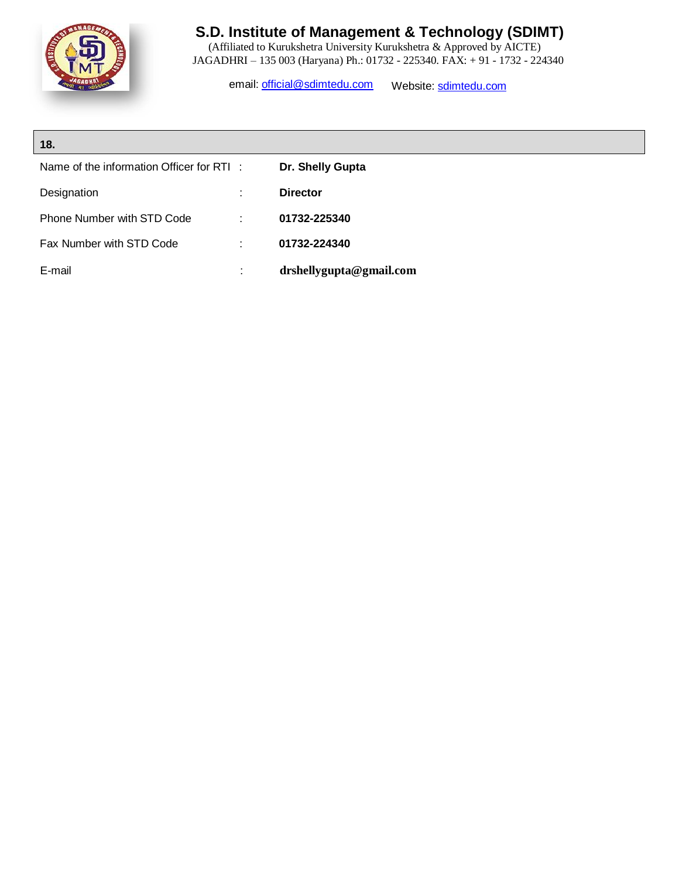

 (Affiliated to Kurukshetra University Kurukshetra & Approved by AICTE) JAGADHRI – 135 003 (Haryana) Ph.: 01732 - 225340. FAX: + 91 - 1732 - 224340

email: [official@sdimtedu.com](mailto:official@sdimtedu.com) Website: sdimtedu.com

| 18.                                      |   |                         |
|------------------------------------------|---|-------------------------|
| Name of the information Officer for RTI: |   | Dr. Shelly Gupta        |
| Designation                              |   | <b>Director</b>         |
| Phone Number with STD Code               | ÷ | 01732-225340            |
| Fax Number with STD Code                 |   | 01732-224340            |
| E-mail                                   |   | drshellygupta@gmail.com |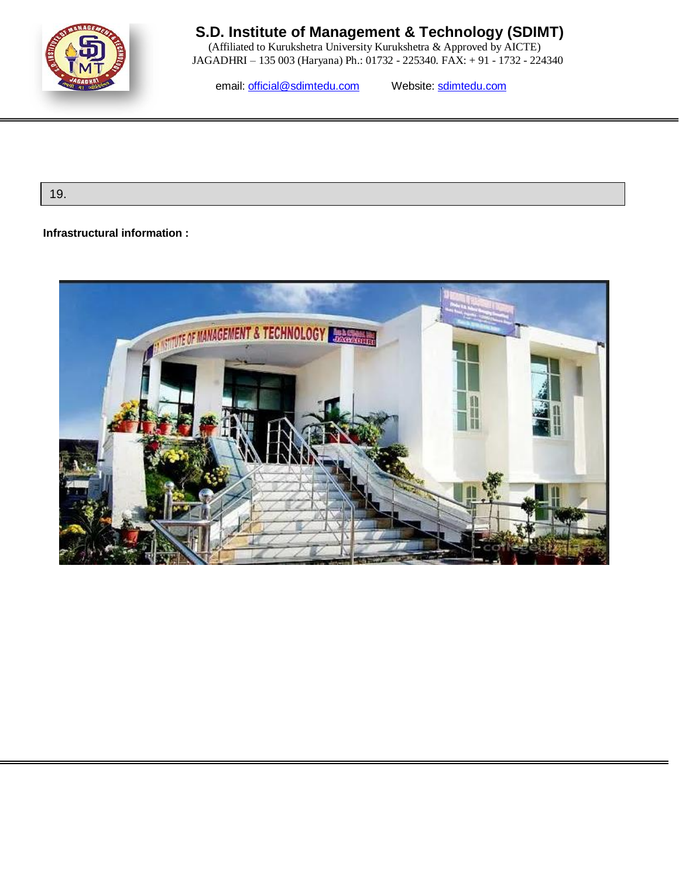

 (Affiliated to Kurukshetra University Kurukshetra & Approved by AICTE) JAGADHRI – 135 003 (Haryana) Ph.: 01732 - 225340. FAX: + 91 - 1732 - 224340

email: [official@sdimtedu.com](mailto:official@sdimtedu.com) Website: sdimtedu.com

19.

### **Infrastructural information :**